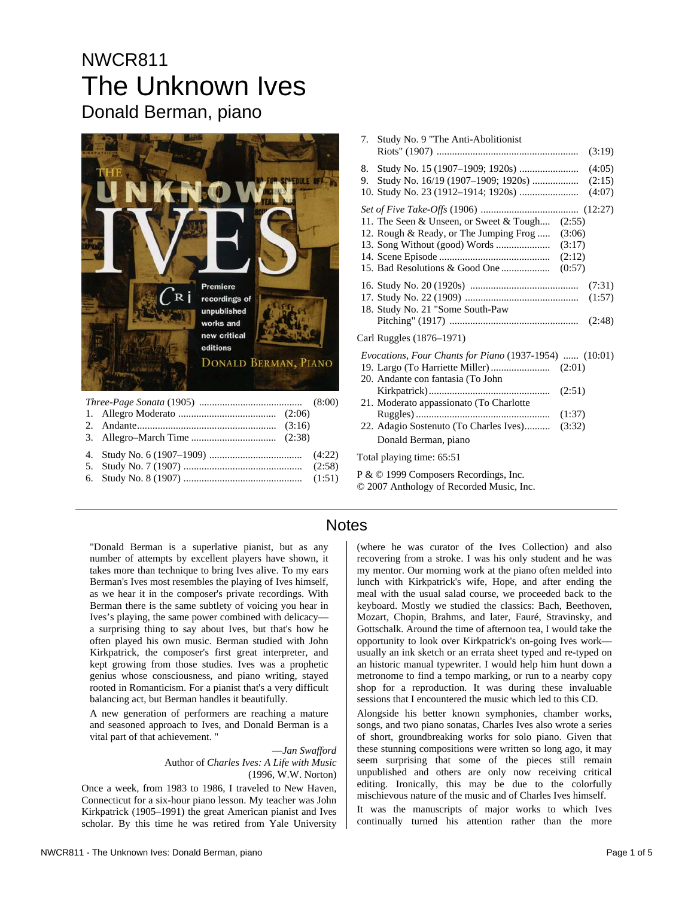# NWCR811 The Unknown Ives Donald Berman, piano



| $\ldots$ . The state of $\ldots$ and $\ldots$ is a set of $\ldots$ |  |  |  |  |
|--------------------------------------------------------------------|--|--|--|--|
|                                                                    |  |  |  |  |
|                                                                    |  |  |  |  |
|                                                                    |  |  |  |  |
|                                                                    |  |  |  |  |
|                                                                    |  |  |  |  |
|                                                                    |  |  |  |  |

|    | 7. Study No. 9 "The Anti-Abolitionist                                                            |        |                            |
|----|--------------------------------------------------------------------------------------------------|--------|----------------------------|
| 9. |                                                                                                  |        | (4:05)<br>(2:15)<br>(4:07) |
|    | 11. The Seen & Unseen, or Sweet & Tough (2:55)<br>12. Rough & Ready, or The Jumping Frog  (3:06) |        |                            |
|    | 18. Study No. 21 "Some South-Paw                                                                 |        |                            |
|    | Carl Ruggles (1876-1971)                                                                         |        |                            |
|    | Evocations, Four Chants for Piano (1937-1954)  (10:01)<br>20. Andante con fantasia (To John      |        |                            |
|    | 21. Moderato appassionato (To Charlotte                                                          | (2:51) |                            |
|    | 22. Adagio Sostenuto (To Charles Ives) (3:32)<br>Donald Berman, piano                            |        |                            |
|    | Total playing time: 65:51                                                                        |        |                            |
|    | P & © 1999 Composers Recordings, Inc.                                                            |        |                            |

© 2007 Anthology of Recorded Music, Inc.

### **Notes**

"Donald Berman is a superlative pianist, but as any number of attempts by excellent players have shown, it takes more than technique to bring Ives alive. To my ears Berman's Ives most resembles the playing of Ives himself, as we hear it in the composer's private recordings. With Berman there is the same subtlety of voicing you hear in Ives's playing, the same power combined with delicacy a surprising thing to say about Ives, but that's how he often played his own music. Berman studied with John Kirkpatrick, the composer's first great interpreter, and kept growing from those studies. Ives was a prophetic genius whose consciousness, and piano writing, stayed rooted in Romanticism. For a pianist that's a very difficult balancing act, but Berman handles it beautifully.

A new generation of performers are reaching a mature and seasoned approach to Ives, and Donald Berman is a vital part of that achievement. "

> —*Jan Swafford*  Author of *Charles Ives: A Life with Music*  (1996, W.W. Norton)

Once a week, from 1983 to 1986, I traveled to New Haven, Connecticut for a six-hour piano lesson. My teacher was John Kirkpatrick (1905–1991) the great American pianist and Ives scholar. By this time he was retired from Yale University (where he was curator of the Ives Collection) and also recovering from a stroke. I was his only student and he was my mentor. Our morning work at the piano often melded into lunch with Kirkpatrick's wife, Hope, and after ending the meal with the usual salad course, we proceeded back to the keyboard. Mostly we studied the classics: Bach, Beethoven, Mozart, Chopin, Brahms, and later, Fauré, Stravinsky, and Gottschalk. Around the time of afternoon tea, I would take the opportunity to look over Kirkpatrick's on-going Ives work usually an ink sketch or an errata sheet typed and re-typed on an historic manual typewriter. I would help him hunt down a metronome to find a tempo marking, or run to a nearby copy shop for a reproduction. It was during these invaluable sessions that I encountered the music which led to this CD.

Alongside his better known symphonies, chamber works, songs, and two piano sonatas, Charles Ives also wrote a series of short, groundbreaking works for solo piano. Given that these stunning compositions were written so long ago, it may seem surprising that some of the pieces still remain unpublished and others are only now receiving critical editing. Ironically, this may be due to the colorfully mischievous nature of the music and of Charles Ives himself.

It was the manuscripts of major works to which Ives continually turned his attention rather than the more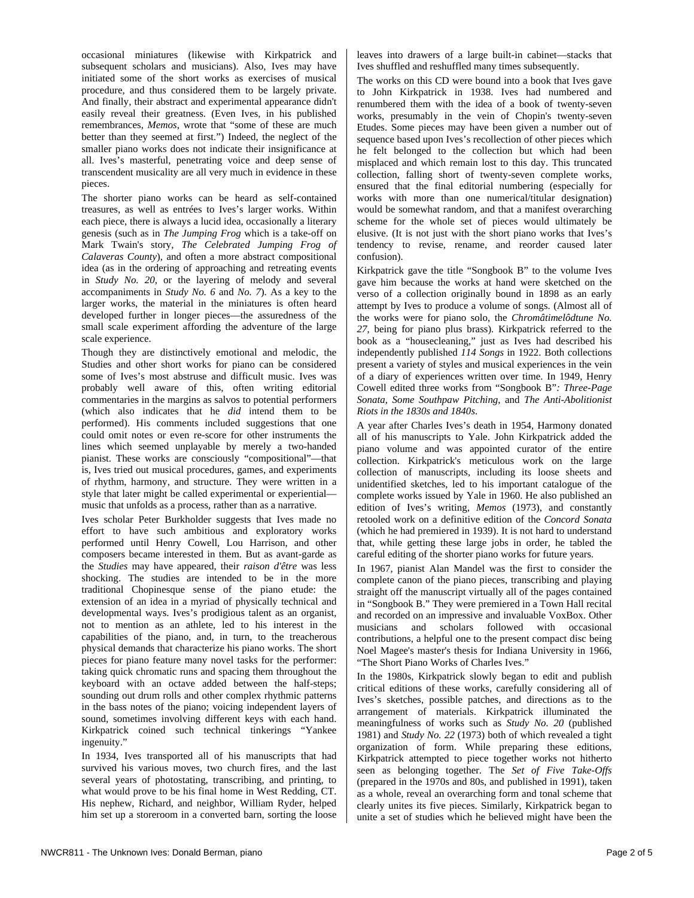occasional miniatures (likewise with Kirkpatrick and subsequent scholars and musicians). Also, Ives may have initiated some of the short works as exercises of musical procedure, and thus considered them to be largely private. And finally, their abstract and experimental appearance didn't easily reveal their greatness. (Even Ives, in his published remembrances, *Memos*, wrote that "some of these are much better than they seemed at first.") Indeed, the neglect of the smaller piano works does not indicate their insignificance at all. Ives's masterful, penetrating voice and deep sense of transcendent musicality are all very much in evidence in these pieces.

The shorter piano works can be heard as self-contained treasures, as well as entrées to Ives's larger works. Within each piece, there is always a lucid idea, occasionally a literary genesis (such as in *The Jumping Frog* which is a take-off on Mark Twain's story, *The Celebrated Jumping Frog of Calaveras County*), and often a more abstract compositional idea (as in the ordering of approaching and retreating events in *Study No. 20*, or the layering of melody and several accompaniments in *Study No. 6* and *No. 7*). As a key to the larger works, the material in the miniatures is often heard developed further in longer pieces—the assuredness of the small scale experiment affording the adventure of the large scale experience.

Though they are distinctively emotional and melodic, the Studies and other short works for piano can be considered some of Ives's most abstruse and difficult music. Ives was probably well aware of this, often writing editorial commentaries in the margins as salvos to potential performers (which also indicates that he *did* intend them to be performed). His comments included suggestions that one could omit notes or even re-score for other instruments the lines which seemed unplayable by merely a two-handed pianist. These works are consciously "compositional"—that is, Ives tried out musical procedures, games, and experiments of rhythm, harmony, and structure. They were written in a style that later might be called experimental or experiential music that unfolds as a process, rather than as a narrative.

Ives scholar Peter Burkholder suggests that Ives made no effort to have such ambitious and exploratory works performed until Henry Cowell, Lou Harrison, and other composers became interested in them. But as avant-garde as the *Studies* may have appeared, their *raison d'être* was less shocking. The studies are intended to be in the more traditional Chopinesque sense of the piano etude: the extension of an idea in a myriad of physically technical and developmental ways. Ives's prodigious talent as an organist, not to mention as an athlete, led to his interest in the capabilities of the piano, and, in turn, to the treacherous physical demands that characterize his piano works. The short pieces for piano feature many novel tasks for the performer: taking quick chromatic runs and spacing them throughout the keyboard with an octave added between the half-steps; sounding out drum rolls and other complex rhythmic patterns in the bass notes of the piano; voicing independent layers of sound, sometimes involving different keys with each hand. Kirkpatrick coined such technical tinkerings "Yankee ingenuity."

In 1934, Ives transported all of his manuscripts that had survived his various moves, two church fires, and the last several years of photostating, transcribing, and printing, to what would prove to be his final home in West Redding, CT. His nephew, Richard, and neighbor, William Ryder, helped him set up a storeroom in a converted barn, sorting the loose leaves into drawers of a large built-in cabinet—stacks that Ives shuffled and reshuffled many times subsequently.

The works on this CD were bound into a book that Ives gave to John Kirkpatrick in 1938. Ives had numbered and renumbered them with the idea of a book of twenty-seven works, presumably in the vein of Chopin's twenty-seven Etudes. Some pieces may have been given a number out of sequence based upon Ives's recollection of other pieces which he felt belonged to the collection but which had been misplaced and which remain lost to this day. This truncated collection, falling short of twenty-seven complete works, ensured that the final editorial numbering (especially for works with more than one numerical/titular designation) would be somewhat random, and that a manifest overarching scheme for the whole set of pieces would ultimately be elusive. (It is not just with the short piano works that Ives's tendency to revise, rename, and reorder caused later confusion).

Kirkpatrick gave the title "Songbook B" to the volume Ives gave him because the works at hand were sketched on the verso of a collection originally bound in 1898 as an early attempt by Ives to produce a volume of songs. (Almost all of the works were for piano solo, the *Chromâtimelôdtune No. 27*, being for piano plus brass). Kirkpatrick referred to the book as a "housecleaning," just as Ives had described his independently published *114 Songs* in 1922. Both collections present a variety of styles and musical experiences in the vein of a diary of experiences written over time. In 1949, Henry Cowell edited three works from "Songbook B"*: Three-Page Sonata*, *Some Southpaw Pitching*, and *The Anti-Abolitionist Riots in the 1830s and 1840s*.

A year after Charles Ives's death in 1954, Harmony donated all of his manuscripts to Yale. John Kirkpatrick added the piano volume and was appointed curator of the entire collection. Kirkpatrick's meticulous work on the large collection of manuscripts, including its loose sheets and unidentified sketches, led to his important catalogue of the complete works issued by Yale in 1960. He also published an edition of Ives's writing, *Memos* (1973), and constantly retooled work on a definitive edition of the *Concord Sonata* (which he had premiered in 1939). It is not hard to understand that, while getting these large jobs in order, he tabled the careful editing of the shorter piano works for future years.

In 1967, pianist Alan Mandel was the first to consider the complete canon of the piano pieces, transcribing and playing straight off the manuscript virtually all of the pages contained in "Songbook B." They were premiered in a Town Hall recital and recorded on an impressive and invaluable VoxBox. Other musicians and scholars followed with occasional contributions, a helpful one to the present compact disc being Noel Magee's master's thesis for Indiana University in 1966, "The Short Piano Works of Charles Ives."

In the 1980s, Kirkpatrick slowly began to edit and publish critical editions of these works, carefully considering all of Ives's sketches, possible patches, and directions as to the arrangement of materials. Kirkpatrick illuminated the meaningfulness of works such as *Study No. 20* (published 1981) and *Study No. 22* (1973) both of which revealed a tight organization of form. While preparing these editions, Kirkpatrick attempted to piece together works not hitherto seen as belonging together. The *Set of Five Take-Offs* (prepared in the 1970s and 80s, and published in 1991), taken as a whole, reveal an overarching form and tonal scheme that clearly unites its five pieces. Similarly, Kirkpatrick began to unite a set of studies which he believed might have been the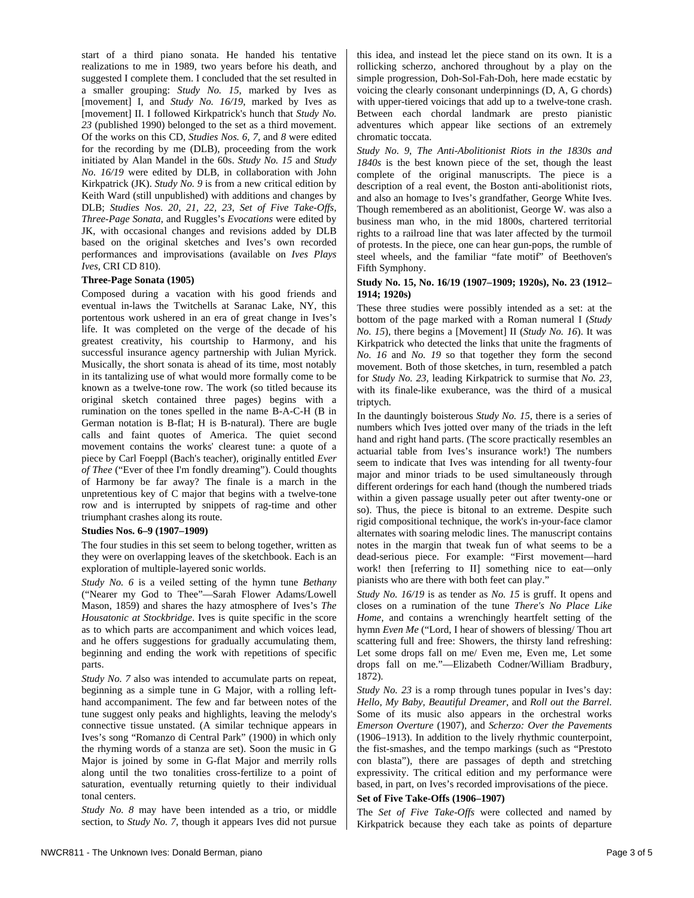start of a third piano sonata. He handed his tentative realizations to me in 1989, two years before his death, and suggested I complete them. I concluded that the set resulted in a smaller grouping: *Study No. 15*, marked by Ives as [movement] I, and *Study No. 16/19*, marked by Ives as [movement] II. I followed Kirkpatrick's hunch that *Study No. 23* (published 1990) belonged to the set as a third movement. Of the works on this CD, *Studies Nos. 6, 7,* and *8* were edited for the recording by me (DLB), proceeding from the work initiated by Alan Mandel in the 60s. *Study No. 15* and *Study No. 16/19* were edited by DLB, in collaboration with John Kirkpatrick (JK). *Study No. 9* is from a new critical edition by Keith Ward (still unpublished) with additions and changes by DLB; *Studies Nos. 20, 21, 22, 23*, *Set of Five Take-Offs*, *Three-Page Sonata*, and Ruggles's *Evocations* were edited by JK, with occasional changes and revisions added by DLB based on the original sketches and Ives's own recorded performances and improvisations (available on *Ives Plays Ives*, CRI CD 810).

#### **Three-Page Sonata (1905)**

Composed during a vacation with his good friends and eventual in-laws the Twitchells at Saranac Lake, NY, this portentous work ushered in an era of great change in Ives's life. It was completed on the verge of the decade of his greatest creativity, his courtship to Harmony, and his successful insurance agency partnership with Julian Myrick. Musically, the short sonata is ahead of its time, most notably in its tantalizing use of what would more formally come to be known as a twelve-tone row. The work (so titled because its original sketch contained three pages) begins with a rumination on the tones spelled in the name B-A-C-H (B in German notation is B-flat; H is B-natural). There are bugle calls and faint quotes of America. The quiet second movement contains the works' clearest tune: a quote of a piece by Carl Foeppl (Bach's teacher), originally entitled *Ever of Thee* ("Ever of thee I'm fondly dreaming"). Could thoughts of Harmony be far away? The finale is a march in the unpretentious key of C major that begins with a twelve-tone row and is interrupted by snippets of rag-time and other triumphant crashes along its route.

#### **Studies Nos. 6–9 (1907–1909)**

The four studies in this set seem to belong together, written as they were on overlapping leaves of the sketchbook. Each is an exploration of multiple-layered sonic worlds.

*Study No. 6* is a veiled setting of the hymn tune *Bethany* ("Nearer my God to Thee"—Sarah Flower Adams/Lowell Mason, 1859) and shares the hazy atmosphere of Ives's *The Housatonic at Stockbridge*. Ives is quite specific in the score as to which parts are accompaniment and which voices lead, and he offers suggestions for gradually accumulating them, beginning and ending the work with repetitions of specific parts.

*Study No.* 7 also was intended to accumulate parts on repeat, beginning as a simple tune in G Major, with a rolling lefthand accompaniment. The few and far between notes of the tune suggest only peaks and highlights, leaving the melody's connective tissue unstated. (A similar technique appears in Ives's song "Romanzo di Central Park" (1900) in which only the rhyming words of a stanza are set). Soon the music in G Major is joined by some in G-flat Major and merrily rolls along until the two tonalities cross-fertilize to a point of saturation, eventually returning quietly to their individual tonal centers.

*Study No. 8* may have been intended as a trio, or middle section, to *Study No. 7*, though it appears Ives did not pursue this idea, and instead let the piece stand on its own. It is a rollicking scherzo, anchored throughout by a play on the simple progression, Doh-Sol-Fah-Doh, here made ecstatic by voicing the clearly consonant underpinnings (D, A, G chords) with upper-tiered voicings that add up to a twelve-tone crash. Between each chordal landmark are presto pianistic adventures which appear like sections of an extremely chromatic toccata.

*Study No. 9*, *The Anti-Abolitionist Riots in the 1830s and 1840s* is the best known piece of the set, though the least complete of the original manuscripts. The piece is a description of a real event, the Boston anti-abolitionist riots, and also an homage to Ives's grandfather, George White Ives. Though remembered as an abolitionist, George W. was also a business man who, in the mid 1800s, chartered territorial rights to a railroad line that was later affected by the turmoil of protests. In the piece, one can hear gun-pops, the rumble of steel wheels, and the familiar "fate motif" of Beethoven's Fifth Symphony.

#### **Study No. 15, No. 16/19 (1907–1909; 1920s), No. 23 (1912– 1914; 1920s)**

These three studies were possibly intended as a set: at the bottom of the page marked with a Roman numeral I (*Study No. 15*), there begins a [Movement] II (*Study No. 16*). It was Kirkpatrick who detected the links that unite the fragments of *No. 16* and *No. 19* so that together they form the second movement. Both of those sketches, in turn, resembled a patch for *Study No. 23,* leading Kirkpatrick to surmise that *No. 23,* with its finale-like exuberance, was the third of a musical triptych.

In the dauntingly boisterous *Study No. 15*, there is a series of numbers which Ives jotted over many of the triads in the left hand and right hand parts. (The score practically resembles an actuarial table from Ives's insurance work!) The numbers seem to indicate that Ives was intending for all twenty-four major and minor triads to be used simultaneously through different orderings for each hand (though the numbered triads within a given passage usually peter out after twenty-one or so). Thus, the piece is bitonal to an extreme. Despite such rigid compositional technique, the work's in-your-face clamor alternates with soaring melodic lines. The manuscript contains notes in the margin that tweak fun of what seems to be a dead-serious piece. For example: "First movement—hard work! then [referring to II] something nice to eat—only pianists who are there with both feet can play."

*Study No. 16/19* is as tender as *No. 15* is gruff. It opens and closes on a rumination of the tune *There's No Place Like Home*, and contains a wrenchingly heartfelt setting of the hymn *Even Me* ("Lord, I hear of showers of blessing/ Thou art scattering full and free: Showers, the thirsty land refreshing: Let some drops fall on me/ Even me, Even me, Let some drops fall on me."—Elizabeth Codner/William Bradbury, 1872).

*Study No. 23* is a romp through tunes popular in Ives's day: *Hello, My Baby, Beautiful Dreamer*, and *Roll out the Barrel*. Some of its music also appears in the orchestral works *Emerson Overture* (1907), and *Scherzo: Over the Pavements* (1906–1913). In addition to the lively rhythmic counterpoint, the fist-smashes, and the tempo markings (such as "Prestoto con blasta"), there are passages of depth and stretching expressivity. The critical edition and my performance were based, in part, on Ives's recorded improvisations of the piece.

#### **Set of Five Take-Offs (1906–1907)**

The *Set of Five Take-Offs* were collected and named by Kirkpatrick because they each take as points of departure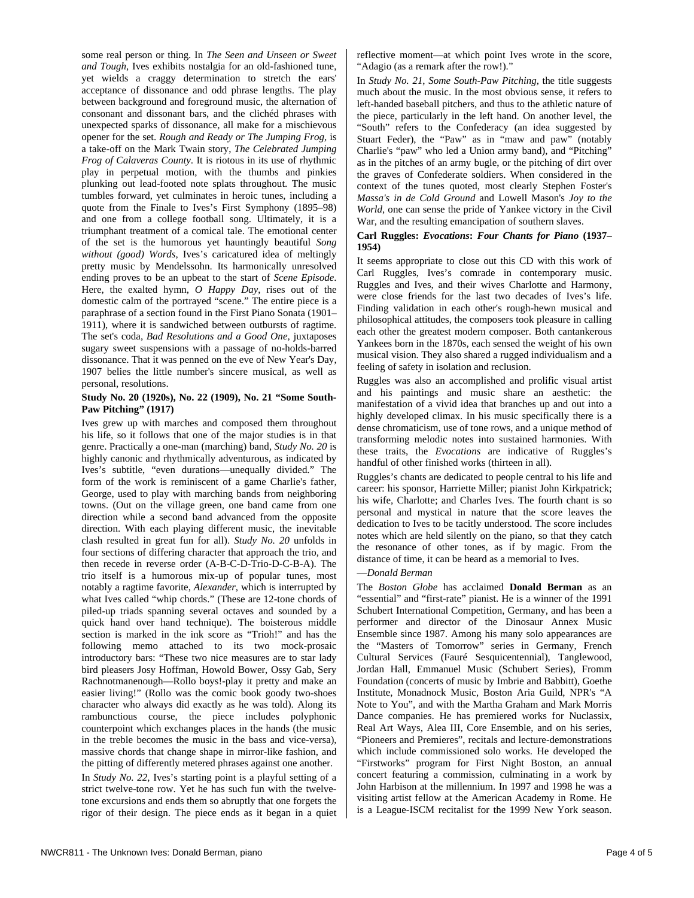some real person or thing. In *The Seen and Unseen or Sweet and Tough*, Ives exhibits nostalgia for an old-fashioned tune, yet wields a craggy determination to stretch the ears' acceptance of dissonance and odd phrase lengths. The play between background and foreground music, the alternation of consonant and dissonant bars, and the clichéd phrases with unexpected sparks of dissonance, all make for a mischievous opener for the set. *Rough and Ready or The Jumping Frog,* is a take-off on the Mark Twain story, *The Celebrated Jumping Frog of Calaveras County*. It is riotous in its use of rhythmic play in perpetual motion, with the thumbs and pinkies plunking out lead-footed note splats throughout. The music tumbles forward, yet culminates in heroic tunes, including a quote from the Finale to Ives's First Symphony (1895–98) and one from a college football song. Ultimately, it is a triumphant treatment of a comical tale. The emotional center of the set is the humorous yet hauntingly beautiful *Song without (good) Words*, Ives's caricatured idea of meltingly pretty music by Mendelssohn. Its harmonically unresolved ending proves to be an upbeat to the start of *Scene Episode*. Here, the exalted hymn, *O Happy Day*, rises out of the domestic calm of the portrayed "scene." The entire piece is a paraphrase of a section found in the First Piano Sonata (1901– 1911), where it is sandwiched between outbursts of ragtime. The set's coda, *Bad Resolutions and a Good One,* juxtaposes sugary sweet suspensions with a passage of no-holds-barred dissonance. That it was penned on the eve of New Year's Day, 1907 belies the little number's sincere musical, as well as personal, resolutions.

#### **Study No. 20 (1920s), No. 22 (1909), No. 21 "Some South-Paw Pitching" (1917)**

Ives grew up with marches and composed them throughout his life, so it follows that one of the major studies is in that genre. Practically a one-man (marching) band, *Study No. 20* is highly canonic and rhythmically adventurous, as indicated by Ives's subtitle, "even durations—unequally divided." The form of the work is reminiscent of a game Charlie's father, George, used to play with marching bands from neighboring towns. (Out on the village green, one band came from one direction while a second band advanced from the opposite direction. With each playing different music, the inevitable clash resulted in great fun for all). *Study No. 20* unfolds in four sections of differing character that approach the trio, and then recede in reverse order (A-B-C-D-Trio-D-C-B-A). The trio itself is a humorous mix-up of popular tunes, most notably a ragtime favorite, *Alexander*, which is interrupted by what Ives called "whip chords." (These are 12-tone chords of piled-up triads spanning several octaves and sounded by a quick hand over hand technique). The boisterous middle section is marked in the ink score as "Trioh!" and has the following memo attached to its two mock-prosaic introductory bars: "These two nice measures are to star lady bird pleasers Josy Hoffman, Howold Bower, Ossy Gab, Sery Rachnotmanenough—Rollo boys!-play it pretty and make an easier living!" (Rollo was the comic book goody two-shoes character who always did exactly as he was told). Along its rambunctious course, the piece includes polyphonic counterpoint which exchanges places in the hands (the music in the treble becomes the music in the bass and vice-versa), massive chords that change shape in mirror-like fashion, and the pitting of differently metered phrases against one another. In *Study No. 22*, Ives's starting point is a playful setting of a strict twelve-tone row. Yet he has such fun with the twelvetone excursions and ends them so abruptly that one forgets the rigor of their design. The piece ends as it began in a quiet reflective moment—at which point Ives wrote in the score, "Adagio (as a remark after the row!)."

In *Study No. 21*, *Some South-Paw Pitching,* the title suggests much about the music. In the most obvious sense, it refers to left-handed baseball pitchers, and thus to the athletic nature of the piece, particularly in the left hand. On another level, the "South" refers to the Confederacy (an idea suggested by Stuart Feder), the "Paw" as in "maw and paw" (notably Charlie's "paw" who led a Union army band), and "Pitching" as in the pitches of an army bugle, or the pitching of dirt over the graves of Confederate soldiers. When considered in the context of the tunes quoted, most clearly Stephen Foster's *Massa's in de Cold Ground* and Lowell Mason's *Joy to the World*, one can sense the pride of Yankee victory in the Civil War, and the resulting emancipation of southern slaves.

#### **Carl Ruggles:** *Evocations***:** *Four Chants for Piano* **(1937– 1954)**

It seems appropriate to close out this CD with this work of Carl Ruggles, Ives's comrade in contemporary music. Ruggles and Ives, and their wives Charlotte and Harmony, were close friends for the last two decades of Ives's life. Finding validation in each other's rough-hewn musical and philosophical attitudes, the composers took pleasure in calling each other the greatest modern composer. Both cantankerous Yankees born in the 1870s, each sensed the weight of his own musical vision. They also shared a rugged individualism and a feeling of safety in isolation and reclusion.

Ruggles was also an accomplished and prolific visual artist and his paintings and music share an aesthetic: the manifestation of a vivid idea that branches up and out into a highly developed climax. In his music specifically there is a dense chromaticism, use of tone rows, and a unique method of transforming melodic notes into sustained harmonies. With these traits, the *Evocations* are indicative of Ruggles's handful of other finished works (thirteen in all).

Ruggles's chants are dedicated to people central to his life and career: his sponsor, Harriette Miller; pianist John Kirkpatrick; his wife, Charlotte; and Charles Ives. The fourth chant is so personal and mystical in nature that the score leaves the dedication to Ives to be tacitly understood. The score includes notes which are held silently on the piano, so that they catch the resonance of other tones, as if by magic. From the distance of time, it can be heard as a memorial to Ives.

#### —*Donald Berman*

The *Boston Globe* has acclaimed **Donald Berman** as an "essential" and "first-rate" pianist. He is a winner of the 1991 Schubert International Competition, Germany, and has been a performer and director of the Dinosaur Annex Music Ensemble since 1987. Among his many solo appearances are the "Masters of Tomorrow" series in Germany, French Cultural Services (Fauré Sesquicentennial), Tanglewood, Jordan Hall, Emmanuel Music (Schubert Series), Fromm Foundation (concerts of music by Imbrie and Babbitt), Goethe Institute, Monadnock Music, Boston Aria Guild, NPR's "A Note to You", and with the Martha Graham and Mark Morris Dance companies. He has premiered works for Nuclassix, Real Art Ways, Alea III, Core Ensemble, and on his series, "Pioneers and Premieres", recitals and lecture-demonstrations which include commissioned solo works. He developed the "Firstworks" program for First Night Boston, an annual concert featuring a commission, culminating in a work by John Harbison at the millennium. In 1997 and 1998 he was a visiting artist fellow at the American Academy in Rome. He is a League-ISCM recitalist for the 1999 New York season.